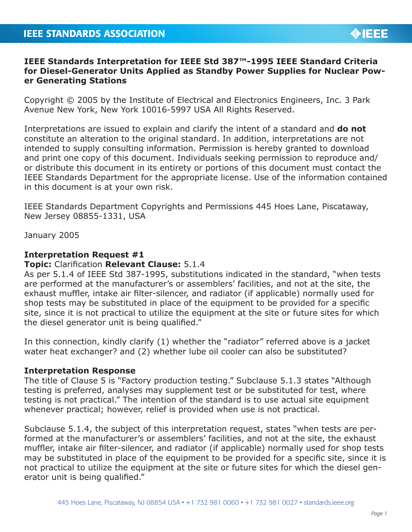## **IEEE Standards Interpretation for IEEE Std 387™-1995 IEEE Standard Criteria for Diesel-Generator Units Applied as Standby Power Supplies for Nuclear Power Generating Stations**

Copyright © 2005 by the Institute of Electrical and Electronics Engineers, Inc. 3 Park Avenue New York, New York 10016-5997 USA All Rights Reserved.

Interpretations are issued to explain and clarify the intent of a standard and **do not** constitute an alteration to the original standard. In addition, interpretations are not intended to supply consulting information. Permission is hereby granted to download and print one copy of this document. Individuals seeking permission to reproduce and/ or distribute this document in its entirety or portions of this document must contact the IEEE Standards Department for the appropriate license. Use of the information contained in this document is at your own risk.

IEEE Standards Department Copyrights and Permissions 445 Hoes Lane, Piscataway, New Jersey 08855-1331, USA

January 2005

## **Interpretation Request #1**

## **Topic:** Clarification **Relevant Clause:** 5.1.4

As per 5.1.4 of IEEE Std 387-1995, substitutions indicated in the standard, "when tests are performed at the manufacturer's or assemblers' facilities, and not at the site, the exhaust muffler, intake air filter-silencer, and radiator (if applicable) normally used for shop tests may be substituted in place of the equipment to be provided for a specific site, since it is not practical to utilize the equipment at the site or future sites for which the diesel generator unit is being qualified."

In this connection, kindly clarify (1) whether the "radiator" referred above is a jacket water heat exchanger? and (2) whether lube oil cooler can also be substituted?

## **Interpretation Response**

The title of Clause 5 is "Factory production testing." Subclause 5.1.3 states "Although testing is preferred, analyses may supplement test or be substituted for test, where testing is not practical." The intention of the standard is to use actual site equipment whenever practical; however, relief is provided when use is not practical.

Subclause 5.1.4, the subject of this interpretation request, states "when tests are performed at the manufacturer's or assemblers' facilities, and not at the site, the exhaust muffler, intake air filter-silencer, and radiator (if applicable) normally used for shop tests may be substituted in place of the equipment to be provided for a specific site, since it is not practical to utilize the equipment at the site or future sites for which the diesel generator unit is being qualified."

**OIEEE**